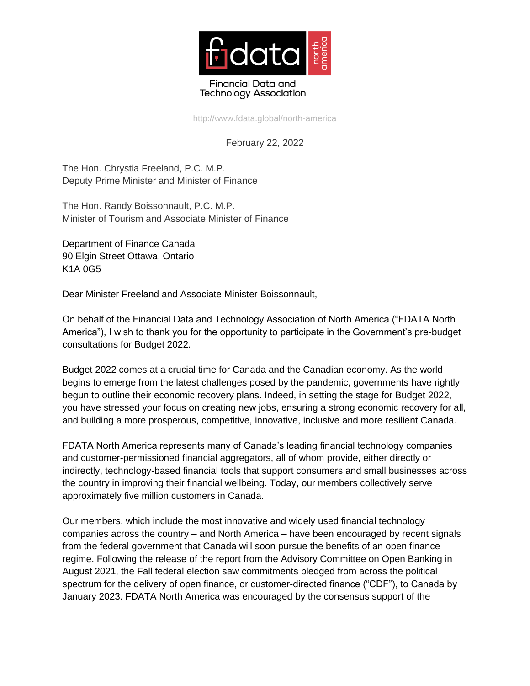

http://www.fdata.global/north-america

## February 22, 2022

The Hon. Chrystia Freeland, P.C. M.P. Deputy Prime Minister and Minister of Finance

The Hon. Randy Boissonnault, P.C. M.P. Minister of Tourism and Associate Minister of Finance

Department of Finance Canada 90 Elgin Street Ottawa, Ontario K1A 0G5

Dear Minister Freeland and Associate Minister Boissonnault,

On behalf of the Financial Data and Technology Association of North America ("FDATA North America"), I wish to thank you for the opportunity to participate in the Government's pre-budget consultations for Budget 2022.

Budget 2022 comes at a crucial time for Canada and the Canadian economy. As the world begins to emerge from the latest challenges posed by the pandemic, governments have rightly begun to outline their economic recovery plans. Indeed, in setting the stage for Budget 2022, you have stressed your focus on creating new jobs, ensuring a strong economic recovery for all, and building a more prosperous, competitive, innovative, inclusive and more resilient Canada.

FDATA North America represents many of Canada's leading financial technology companies and customer-permissioned financial aggregators, all of whom provide, either directly or indirectly, technology-based financial tools that support consumers and small businesses across the country in improving their financial wellbeing. Today, our members collectively serve approximately five million customers in Canada.

Our members, which include the most innovative and widely used financial technology companies across the country – and North America – have been encouraged by recent signals from the federal government that Canada will soon pursue the benefits of an open finance regime. Following the release of the report from the Advisory Committee on Open Banking in August 2021, the Fall federal election saw commitments pledged from across the political spectrum for the delivery of open finance, or customer-directed finance ("CDF"), to Canada by January 2023. FDATA North America was encouraged by the consensus support of the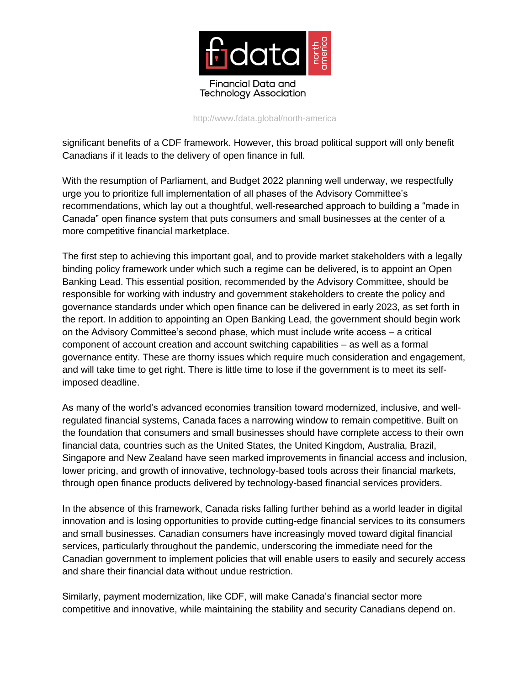

http://www.fdata.global/north-america

significant benefits of a CDF framework. However, this broad political support will only benefit Canadians if it leads to the delivery of open finance in full.

With the resumption of Parliament, and Budget 2022 planning well underway, we respectfully urge you to prioritize full implementation of all phases of the Advisory Committee's recommendations, which lay out a thoughtful, well-researched approach to building a "made in Canada" open finance system that puts consumers and small businesses at the center of a more competitive financial marketplace.

The first step to achieving this important goal, and to provide market stakeholders with a legally binding policy framework under which such a regime can be delivered, is to appoint an Open Banking Lead. This essential position, recommended by the Advisory Committee, should be responsible for working with industry and government stakeholders to create the policy and governance standards under which open finance can be delivered in early 2023, as set forth in the report. In addition to appointing an Open Banking Lead, the government should begin work on the Advisory Committee's second phase, which must include write access – a critical component of account creation and account switching capabilities – as well as a formal governance entity. These are thorny issues which require much consideration and engagement, and will take time to get right. There is little time to lose if the government is to meet its selfimposed deadline.

As many of the world's advanced economies transition toward modernized, inclusive, and wellregulated financial systems, Canada faces a narrowing window to remain competitive. Built on the foundation that consumers and small businesses should have complete access to their own financial data, countries such as the United States, the United Kingdom, Australia, Brazil, Singapore and New Zealand have seen marked improvements in financial access and inclusion, lower pricing, and growth of innovative, technology-based tools across their financial markets, through open finance products delivered by technology-based financial services providers.

In the absence of this framework, Canada risks falling further behind as a world leader in digital innovation and is losing opportunities to provide cutting-edge financial services to its consumers and small businesses. Canadian consumers have increasingly moved toward digital financial services, particularly throughout the pandemic, underscoring the immediate need for the Canadian government to implement policies that will enable users to easily and securely access and share their financial data without undue restriction.

Similarly, payment modernization, like CDF, will make Canada's financial sector more competitive and innovative, while maintaining the stability and security Canadians depend on.